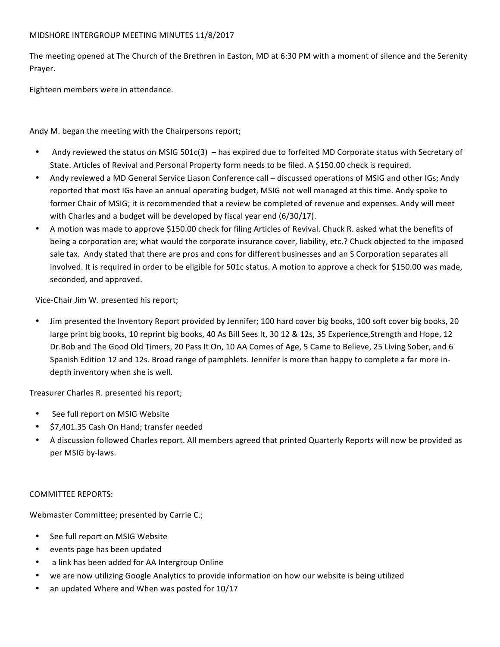#### MIDSHORE INTERGROUP MEETING MINUTES 11/8/2017

The meeting opened at The Church of the Brethren in Easton, MD at 6:30 PM with a moment of silence and the Serenity Prayer.

Eighteen members were in attendance.

Andy M. began the meeting with the Chairpersons report;

- Andy reviewed the status on MSIG 501c(3) has expired due to forfeited MD Corporate status with Secretary of State. Articles of Revival and Personal Property form needs to be filed. A \$150.00 check is required.
- Andy reviewed a MD General Service Liason Conference call discussed operations of MSIG and other IGs; Andy reported that most IGs have an annual operating budget, MSIG not well managed at this time. Andy spoke to former Chair of MSIG; it is recommended that a review be completed of revenue and expenses. Andy will meet with Charles and a budget will be developed by fiscal year end (6/30/17).
- A motion was made to approve \$150.00 check for filing Articles of Revival. Chuck R. asked what the benefits of being a corporation are; what would the corporate insurance cover, liability, etc.? Chuck objected to the imposed sale tax. Andy stated that there are pros and cons for different businesses and an S Corporation separates all involved. It is required in order to be eligible for 501c status. A motion to approve a check for \$150.00 was made, seconded, and approved.

Vice-Chair Jim W. presented his report;

Jim presented the Inventory Report provided by Jennifer; 100 hard cover big books, 100 soft cover big books, 20 large print big books, 10 reprint big books, 40 As Bill Sees It, 30 12 & 12s, 35 Experience,Strength and Hope, 12 Dr.Bob and The Good Old Timers, 20 Pass It On, 10 AA Comes of Age, 5 Came to Believe, 25 Living Sober, and 6 Spanish Edition 12 and 12s. Broad range of pamphlets. Jennifer is more than happy to complete a far more indepth inventory when she is well.

Treasurer Charles R. presented his report;

- See full report on MSIG Website
- \$7,401.35 Cash On Hand; transfer needed
- A discussion followed Charles report. All members agreed that printed Quarterly Reports will now be provided as per MSIG by-laws.

# COMMITTEE REPORTS:

Webmaster Committee; presented by Carrie C.;

- See full report on MSIG Website
- events page has been updated
- a link has been added for AA Intergroup Online
- we are now utilizing Google Analytics to provide information on how our website is being utilized
- an updated Where and When was posted for 10/17